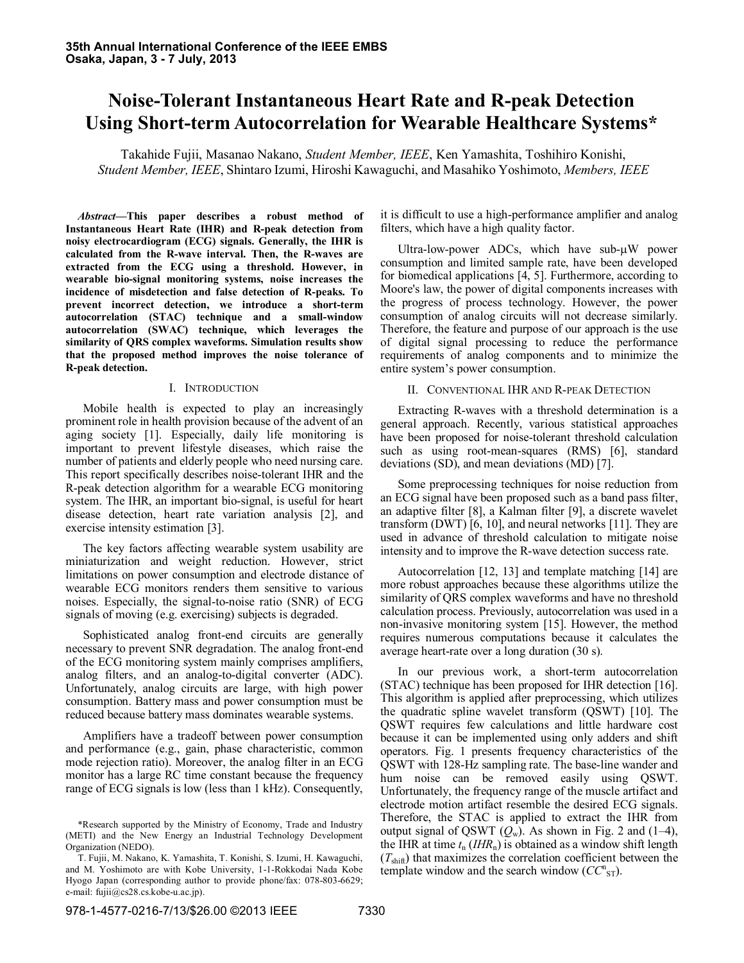# **Noise-Tolerant Instantaneous Heart Rate and R-peak Detection Using Short-term Autocorrelation for Wearable Healthcare Systems\***

Takahide Fujii, Masanao Nakano, *Student Member, IEEE*, Ken Yamashita, Toshihiro Konishi, *Student Member, IEEE*, Shintaro Izumi, Hiroshi Kawaguchi, and Masahiko Yoshimoto, *Members, IEEE*

*Abstract***—This paper describes a robust method of Instantaneous Heart Rate (IHR) and R-peak detection from noisy electrocardiogram (ECG) signals. Generally, the IHR is calculated from the R-wave interval. Then, the R-waves are extracted from the ECG using a threshold. However, in wearable bio-signal monitoring systems, noise increases the incidence of misdetection and false detection of R-peaks. To prevent incorrect detection, we introduce a short-term autocorrelation (STAC) technique and a small-window autocorrelation (SWAC) technique, which leverages the similarity of QRS complex waveforms. Simulation results show that the proposed method improves the noise tolerance of R-peak detection.**

## I. INTRODUCTION

Mobile health is expected to play an increasingly prominent role in health provision because of the advent of an aging society [1]. Especially, daily life monitoring is important to prevent lifestyle diseases, which raise the number of patients and elderly people who need nursing care. This report specifically describes noise-tolerant IHR and the R-peak detection algorithm for a wearable ECG monitoring system. The IHR, an important bio-signal, is useful for heart disease detection, heart rate variation analysis [2], and exercise intensity estimation [3].

The key factors affecting wearable system usability are miniaturization and weight reduction. However, strict limitations on power consumption and electrode distance of wearable ECG monitors renders them sensitive to various noises. Especially, the signal-to-noise ratio (SNR) of ECG signals of moving (e.g. exercising) subjects is degraded.

Sophisticated analog front-end circuits are generally necessary to prevent SNR degradation. The analog front-end of the ECG monitoring system mainly comprises amplifiers, analog filters, and an analog-to-digital converter (ADC). Unfortunately, analog circuits are large, with high power consumption. Battery mass and power consumption must be reduced because battery mass dominates wearable systems.

Amplifiers have a tradeoff between power consumption and performance (e.g., gain, phase characteristic, common mode rejection ratio). Moreover, the analog filter in an ECG monitor has a large RC time constant because the frequency range of ECG signals is low (less than 1 kHz). Consequently,

it is difficult to use a high-performance amplifier and analog filters, which have a high quality factor.

Ultra-low-power ADCs, which have sub-µW power consumption and limited sample rate, have been developed for biomedical applications [4, 5]. Furthermore, according to Moore's law, the power of digital components increases with the progress of process technology. However, the power consumption of analog circuits will not decrease similarly. Therefore, the feature and purpose of our approach is the use of digital signal processing to reduce the performance requirements of analog components and to minimize the entire system's power consumption.

## II. CONVENTIONAL IHR AND R-PEAK DETECTION

Extracting R-waves with a threshold determination is a general approach. Recently, various statistical approaches have been proposed for noise-tolerant threshold calculation such as using root-mean-squares (RMS) [6], standard deviations (SD), and mean deviations (MD) [7].

Some preprocessing techniques for noise reduction from an ECG signal have been proposed such as a band pass filter, an adaptive filter [8], a Kalman filter [9], a discrete wavelet transform (DWT) [6, 10], and neural networks [11]. They are used in advance of threshold calculation to mitigate noise intensity and to improve the R-wave detection success rate.

Autocorrelation [12, 13] and template matching [14] are more robust approaches because these algorithms utilize the similarity of QRS complex waveforms and have no threshold calculation process. Previously, autocorrelation was used in a non-invasive monitoring system [15]. However, the method requires numerous computations because it calculates the average heart-rate over a long duration (30 s).

In our previous work, a short-term autocorrelation (STAC) technique has been proposed for IHR detection [16]. This algorithm is applied after preprocessing, which utilizes the quadratic spline wavelet transform (QSWT) [10]. The QSWT requires few calculations and little hardware cost because it can be implemented using only adders and shift operators. Fig. 1 presents frequency characteristics of the QSWT with 128-Hz sampling rate. The base-line wander and hum noise can be removed easily using QSWT. Unfortunately, the frequency range of the muscle artifact and electrode motion artifact resemble the desired ECG signals. Therefore, the STAC is applied to extract the IHR from output signal of QSWT  $(O_w)$ . As shown in Fig. 2 and (1–4), the IHR at time  $t_n$  (*IHR<sub>n</sub>*) is obtained as a window shift length  $(T_{\text{shift}})$  that maximizes the correlation coefficient between the template window and the search window  $(CC<sup>n</sup><sub>ST</sub>)$ .

<sup>\*</sup>Research supported by the Ministry of Economy, Trade and Industry (METI) and the New Energy an Industrial Technology Development Organization (NEDO).

T. Fujii, M. Nakano, K. Yamashita, T. Konishi, S. Izumi, H. Kawaguchi, and M. Yoshimoto are with Kobe University, 1-1-Rokkodai Nada Kobe Hyogo Japan (corresponding author to provide phone/fax: 078-803-6629; e-mail: fujii@cs28.cs.kobe-u.ac.jp).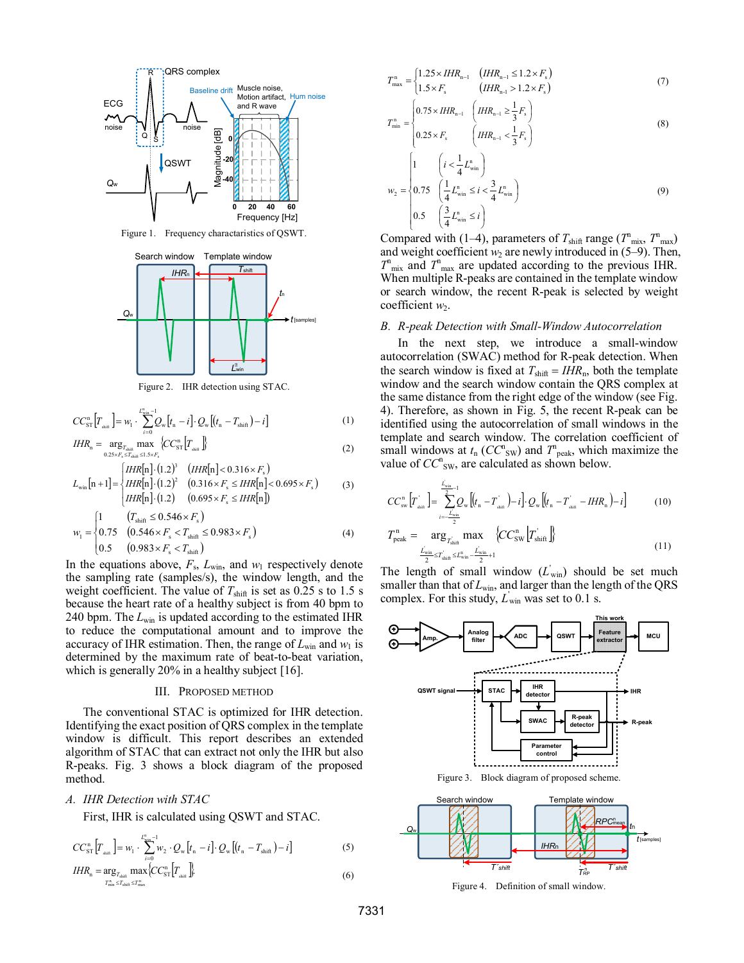

Figure 1. Frequency charactaristics of QSWT.



Figure 2. IHR detection using STAC.

$$
CC_{ST}^{n}\left[T_{\text{min}}\right] = w_{1} \cdot \sum_{i=0}^{L_{\text{min}}^{n} - 1} Q_{w}\left[t_{n} - i\right] \cdot Q_{w}\left[\left(t_{n} - T_{\text{shift}}\right) - i\right]
$$
 (1)

$$
IHR_{n} = \underset{0.25 \times F_{s} \le T_{\text{shift}} \le 1.5 \times F_{s}}{\arg_{T_{\text{shift}}} \max} \{CC_{ST}^{n} \big| T_{\text{shift}} \}
$$
\n
$$
\tag{2}
$$

$$
L_{\text{win}}[n+1] = \begin{cases} HIR[n] \cdot (1.2)^3 & (HIR[n] < 0.316 \times F_s \\ HIR[n] \cdot (1.2)^2 & (0.316 \times F_s \le HIR[n] < 0.695 \times F_s \end{cases} \tag{3}
$$
\n
$$
HIR[n] \cdot (1.2) \quad (0.695 \times F_s \le HIR[n])
$$

$$
w_1 = \begin{cases} 1 & (T_{\text{shift}} \le 0.546 \times F_s) \\ 0.75 & (0.546 \times F_s < T_{\text{shift}} \le 0.983 \times F_s) \\ 0.5 & (0.983 \times F_s < T_{\text{shift}}) \end{cases}
$$
(4)

In the equations above,  $F_s$ ,  $L_{win}$ , and  $w_1$  respectively denote the sampling rate (samples/s), the window length, and the weight coefficient. The value of  $T_{\text{shift}}$  is set as 0.25 s to 1.5 s because the heart rate of a healthy subject is from 40 bpm to 240 bpm. The *L*win is updated according to the estimated IHR to reduce the computational amount and to improve the accuracy of IHR estimation. Then, the range of  $L_{win}$  and  $w_1$  is determined by the maximum rate of beat-to-beat variation, which is generally 20% in a healthy subject [16].

#### III. PROPOSED METHOD

The conventional STAC is optimized for IHR detection. Identifying the exact position of QRS complex in the template window is difficult. This report describes an extended algorithm of STAC that can extract not only the IHR but also R-peaks. Fig. 3 shows a block diagram of the proposed method.

### *A. IHR Detection with STAC*

First, IHR is calculated using QSWT and STAC.

$$
CC_{ST}^{n}[T_{\min}] = w_{1} \cdot \sum_{i=0}^{L_{\min}^{n}-1} w_{2} \cdot Q_{w}[t_{n}-i] \cdot Q_{w}[(t_{n}-T_{\min})-i] \tag{5}
$$

$$
IHR_{n} = \underset{T_{\min}^{n} \leq T_{\min}}{\arg_{T_{\min}^{n} \leq T_{\max}}} \text{max} \{CC_{ST}^{n} \bigg| T_{\min} \bigg\} \tag{6}
$$

$$
T_{\max}^{n} = \begin{cases} 1.25 \times IHR_{n-1} & (IHR_{n-1} \le 1.2 \times F_s) \\ 1.5 \times F_s & (IHR_{n-1} > 1.2 \times F_s) \end{cases}
$$
(7)

$$
T_{\min}^{n} = \begin{cases} 0.75 \times IHR_{n-1} & \left( IHR_{n-1} \ge \frac{1}{3} F_s \right) \\ 0.25 \times F_s & \left( IHR_{n-1} < \frac{1}{3} F_s \right) \end{cases} \tag{8}
$$

$$
w_2 = \begin{cases} 1 & \left( i < \frac{1}{4} L_{\text{win}}^n \right) \\ 0.75 & \left( \frac{1}{4} L_{\text{win}}^n \le i < \frac{3}{4} L_{\text{win}}^n \right) \\ 0.5 & \left( \frac{3}{4} L_{\text{win}}^n \le i \right) \end{cases}
$$
(9)

Compared with (1–4), parameters of  $T_{\text{shift}}$  range ( $T_{\text{mix}}^n$ ,  $T_{\text{max}}^n$ ) and weight coefficient  $w_2$  are newly introduced in  $(5-9)$ . Then,  $T<sup>n</sup>_{\text{mix}}$  and  $T<sup>n</sup>_{\text{max}}$  are updated according to the previous IHR. When multiple R-peaks are contained in the template window or search window, the recent R-peak is selected by weight coefficient *w*<sub>2</sub>.

#### *B. R-peak Detection with Small-Window Autocorrelation*

In the next step, we introduce a small-window autocorrelation (SWAC) method for R-peak detection. When the search window is fixed at  $T_{\text{shift}} = IHR_{\text{n}}$ , both the template window and the search window contain the QRS complex at the same distance from the right edge of the window (see Fig. 4). Therefore, as shown in Fig. 5, the recent R-peak can be identified using the autocorrelation of small windows in the template and search window. The correlation coefficient of small windows at  $t_n$  ( $CC^n_{SW}$ ) and  $T^n_{peak}$ , which maximize the value of  $CC<sup>n</sup>_{SW}$ , are calculated as shown below.

$$
CC_{\text{sw}}^{\text{n}}\left[T_{\text{shift}}^{'}\right] = \sum_{i=-\frac{L_{\text{win}}}{2}}^{\frac{L_{\text{win}}}{2}} Q_{\text{w}}\left[(t_{\text{n}} - T_{\text{shift}}^{'}\right) - i\right] \cdot Q_{\text{w}}\left[(t_{\text{n}} - T_{\text{shift}}^{'} - IHR_{\text{n}}\right) - i\right]
$$
(10)  

$$
T_{\text{peak}}^{\text{n}} = \arg_{T_{\text{min}}} \max \left\{CC_{\text{SW}}^{\text{n}}\left[T_{\text{shift}}^{'}\right]\right\}
$$

$$
I_{\text{peak}} = \frac{a_1 g_{T_{\text{shift}}}}{2} \prod_{\text{flat}} \Delta \left( C_{\text{SW}} \left[ I_{\text{shift}} \right] \right)
$$
\n
$$
\frac{L_{\text{win}}}{2} \sum_{\text{shift}} T_{\text{shift}} L_{\text{win}}^2 - \frac{L_{\text{win}}}{2} + 1} \tag{11}
$$

The length of small window  $(L_{win})$  should be set much smaller than that of  $L_{\text{win}}$ , and larger than the length of the QRS complex. For this study,  $L_{\text{win}}$  was set to 0.1 s.



Figure 4. Definition of small window.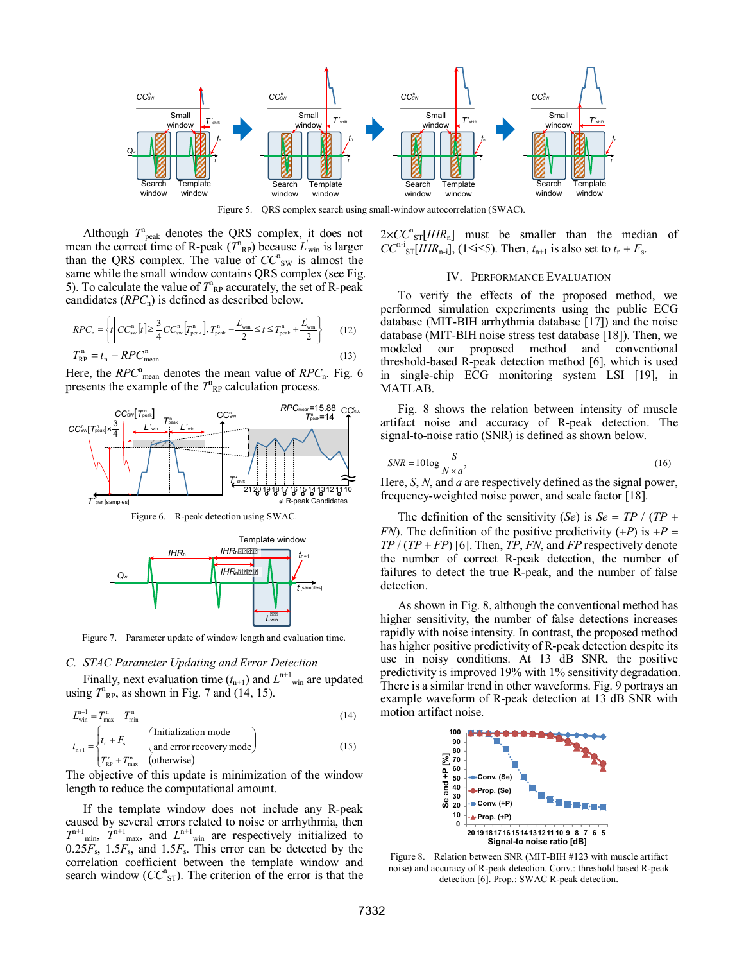

Figure 5. QRS complex search using small-window autocorrelation (SWAC).

Although  $T_{\text{peak}}^n$  denotes the QRS complex, it does not mean the correct time of R-peak  $(\overline{T}_{\text{RP}}^n)$  because  $L'_{\text{win}}$  is larger than the QRS complex. The value of  $CC^n_{SW}$  is almost the same while the small window contains QRS complex (see Fig. 5). To calculate the value of  $T_{\rm RP}^{\rm n}$  accurately, the set of R-peak candidates (*RPC*n) is defined as described below.

$$
RPC_{\rm n} = \left\{ t \middle| CC_{\rm sw}^{\rm n}[t] \ge \frac{3}{4} CC_{\rm sw}^{\rm n}[T_{\rm peak}^{\rm n}], T_{\rm peak}^{\rm n} - \frac{L_{\rm win}}{2} \le t \le T_{\rm peak}^{\rm n} + \frac{L_{\rm win}}{2} \right\}
$$
(12)  

$$
T_{\rm RP}^{\rm n} = t_{\rm n} - RPC_{\rm mean}^{\rm n}
$$
(13)

Here, the *RPC*<sup>n</sup><sub>mean</sub> denotes the mean value of *RPC*<sub>n</sub>. Fig. 6 presents the example of the  $T_{\rm RP}^{\rm n}$  calculation process.



Figure 7. Parameter update of window length and evaluation time.

*L*win

n+1

#### *C. STAC Parameter Updating and Error Detection*

Finally, next evaluation time  $(t_{n+1})$  and  $L^{n+1}$ <sub>win</sub> are updated using  $T_{\rm RP}^{\rm n}$ , as shown in Fig. 7 and (14, 15).

$$
L_{\text{win}}^{n+1} = T_{\text{max}}^n - T_{\text{min}}^n
$$
 (14)  

$$
t_{n+1} = \begin{cases} t_n + F_s & \text{(Initialization mode)}\\ T_{\text{RP}}^n + T_{\text{max}}^n & \text{(otherwise)} \end{cases}
$$
 (15)

The objective of this update is minimization of the window length to reduce the computational amount.

If the template window does not include any R-peak caused by several errors related to noise or arrhythmia, then  $T^{n+1}$ <sub>min</sub>,  $T^{n+1}$ <sub>max</sub>, and  $L^{n+1}$ <sub>win</sub> are respectively initialized to  $0.25F_s$ ,  $1.5F_s$ , and  $1.5F_s$ . This error can be detected by the correlation coefficient between the template window and search window  $(CC^n_{ST})$ . The criterion of the error is that the  $2 \times CC^{\text{n}}_{ST}[IHR_{\text{n}}]$  must be smaller than the median of  $CC^{n-i}$ <sub>ST</sub>[*IHR*<sub>n-i</sub>], (1≤i≤5). Then,  $t_{n+1}$  is also set to  $t_n + F_s$ .

#### IV. PERFORMANCE EVALUATION

To verify the effects of the proposed method, we performed simulation experiments using the public ECG database (MIT-BIH arrhythmia database [17]) and the noise database (MIT-BIH noise stress test database [18]). Then, we modeled our proposed method and conventional threshold-based R-peak detection method [6], which is used in single-chip ECG monitoring system LSI [19], in MATLAB.

Fig. 8 shows the relation between intensity of muscle artifact noise and accuracy of R-peak detection. The signal-to-noise ratio (SNR) is defined as shown below.

$$
SNR = 10 \log \frac{S}{N \times a^2}
$$
 (16)

Here, *S*, *N*, and *a* are respectively defined as the signal power, frequency-weighted noise power, and scale factor [18].

The definition of the sensitivity (*Se*) is *Se* = *TP* / (*TP* + *FN*). The definition of the positive predictivity  $(+P)$  is  $+P =$ *TP* / (*TP* + *FP*) [6]. Then, *TP*, *FN*, and *FP* respectively denote the number of correct R-peak detection, the number of failures to detect the true R-peak, and the number of false detection.

As shown in Fig. 8, although the conventional method has higher sensitivity, the number of false detections increases rapidly with noise intensity. In contrast, the proposed method has higher positive predictivity of R-peak detection despite its use in noisy conditions. At 13 dB SNR, the positive predictivity is improved 19% with 1% sensitivity degradation. There is a similar trend in other waveforms. Fig. 9 portrays an example waveform of R-peak detection at 13 dB SNR with motion artifact noise.



Figure 8. Relation between SNR (MIT-BIH #123 with muscle artifact noise) and accuracy of R-peak detection. Conv.: threshold based R-peak detection [6]. Prop.: SWAC R-peak detection.